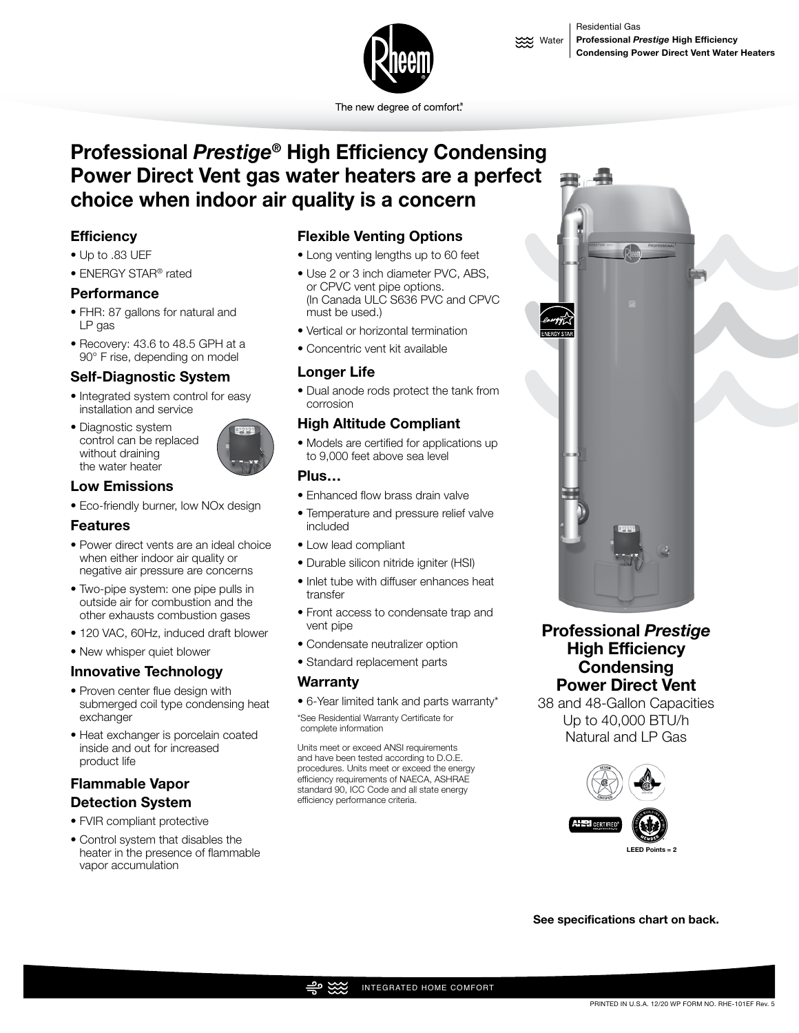

The new degree of comfort<sup>®</sup>

# **Professional** *Prestige***® High Efficiency Condensing Power Direct Vent gas water heaters are a perfect choice when indoor air quality is a concern**

# **Efficiency**

- Up to .83 UEF
- ENERGY STAR® rated

#### **Performance**

- FHR: 87 gallons for natural and LP gas
- Recovery: 43.6 to 48.5 GPH at a 90° F rise, depending on model

#### **Self-Diagnostic System**

- Integrated system control for easy installation and service
- Diagnostic system control can be replaced without draining the water heater



#### **Low Emissions**

• Eco-friendly burner, low NOx design

## **Features**

- Power direct vents are an ideal choice when either indoor air quality or negative air pressure are concerns
- Two-pipe system: one pipe pulls in outside air for combustion and the other exhausts combustion gases
- 120 VAC, 60Hz, induced draft blower
- New whisper quiet blower

## **Innovative Technology**

- Proven center flue design with submerged coil type condensing heat exchanger
- Heat exchanger is porcelain coated inside and out for increased product life

# **Flammable Vapor Detection System**

- FVIR compliant protective
- Control system that disables the heater in the presence of flammable vapor accumulation

## **Flexible Venting Options**

- Long venting lengths up to 60 feet
- Use 2 or 3 inch diameter PVC, ABS, or CPVC vent pipe options. (In Canada ULC S636 PVC and CPVC must be used.)
- Vertical or horizontal termination
- Concentric vent kit available

#### **Longer Life**

• Dual anode rods protect the tank from corrosion

## **High Altitude Compliant**

• Models are certified for applications up to 9,000 feet above sea level

#### **Plus…**

- Enhanced flow brass drain valve
- Temperature and pressure relief valve included
- Low lead compliant
- Durable silicon nitride igniter (HSI)
- Inlet tube with diffuser enhances heat transfer
- Front access to condensate trap and vent pipe
- Condensate neutralizer option
- Standard replacement parts

## **Warranty**

• 6-Year limited tank and parts warranty\* \*See Residential Warranty Certificate for complete information

Units meet or exceed ANSI requirements and have been tested according to D.O.E. procedures. Units meet or exceed the energy efficiency requirements of NAECA, ASHRAE standard 90, ICC Code and all state energy efficiency performance criteria.



# **Professional** *Prestige* **High Efficiency Condensing Power Direct Vent**

38 and 48-Gallon Capacities Up to 40,000 BTU/h Natural and LP Gas



**See specifications chart on back.**